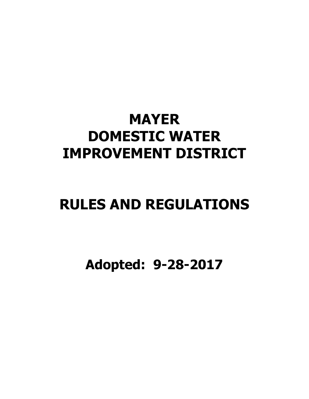# **MAYER DOMESTIC WATER IMPROVEMENT DISTRICT**

# **RULES AND REGULATIONS**

**Adopted: 9-28-2017**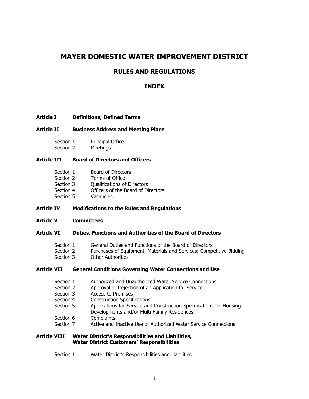# **MAYER DOMESTIC WATER IMPROVEMENT DISTRICT**

## **RULES AND REGULATIONS**

# **INDEX**

#### **Article I Definitions; Defined Terms**

#### **Article II Business Address and Meeting Place**

| Section 1 | Principal Office |
|-----------|------------------|
| Section 2 | Meetings         |

#### **Article III Board of Directors and Officers**

| Section 1 | Board of Directors                 |
|-----------|------------------------------------|
| Section 2 | Terms of Office                    |
| Section 3 | Qualifications of Directors        |
| Section 4 | Officers of the Board of Directors |
| Section 5 | Vacancies                          |

#### **Article IV Modifications to the Rules and Regulations**

#### **Article V Committees**

#### **Article VI Duties, Functions and Authorities of the Board of Directors**

- Section 1 General Duties and Functions of the Board of Directors<br>Section 2 Purchases of Equipment, Materials and Services: Compo
- Section 2 Purchases of Equipment, Materials and Services; Competitive Bidding<br>Section 3 Other Authorities
- **Other Authorities**

#### **Article VII General Conditions Governing Water Connections and Use**

| Section 1 | Authorized and Unauthorized Water Service Connections                                                               |
|-----------|---------------------------------------------------------------------------------------------------------------------|
| Section 2 | Approval or Rejection of an Application for Service                                                                 |
| Section 3 | <b>Access to Premises</b>                                                                                           |
| Section 4 | <b>Construction Specifications</b>                                                                                  |
| Section 5 | Applications for Service and Construction Specifications for Housing<br>Developments and/or Multi-Family Residences |
| Section 6 | Complaints                                                                                                          |
| Section 7 | Active and Inactive Use of Authorized Water Service Connections                                                     |

#### **Article VIII Water District's Responsibilities and Liabilities, Water District Customers' Responsibilities**

Section 1 Water District's Responsibilities and Liabilities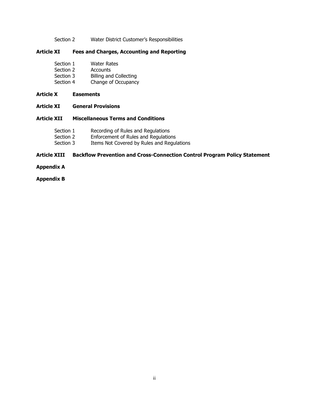Section 2 Water District Customer's Responsibilities

## **Article XI Fees and Charges, Accounting and Reporting**

| Section 1 | <b>Water Rates</b>            |
|-----------|-------------------------------|
| Section 2 | <b>Accounts</b>               |
| Section 3 | <b>Billing and Collecting</b> |
| Section 4 | Change of Occupancy           |

#### **Article X Easements**

**Article XI General Provisions**

#### **Article XII Miscellaneous Terms and Conditions**

| Section 1 | Recording of Rules and Regulations         |
|-----------|--------------------------------------------|
| Section 2 | Enforcement of Rules and Regulations       |
| Section 3 | Items Not Covered by Rules and Regulations |

# **Article XIII Backflow Prevention and Cross-Connection Control Program Policy Statement**

#### **Appendix A**

## **Appendix B**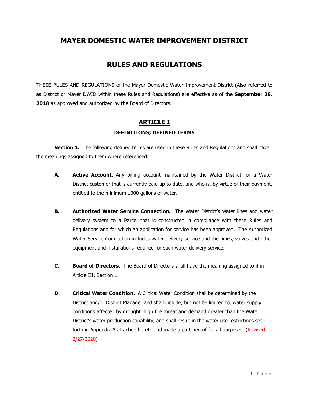# **MAYER DOMESTIC WATER IMPROVEMENT DISTRICT**

# **RULES AND REGULATIONS**

THESE RULES AND REGULATIONS of the Mayer Domestic Water Improvement District (Also referred to as District or Mayer DWID within these Rules and Regulations) are effective as of the **September 28, 2018** as approved and authorized by the Board of Directors.

# **ARTICLE I DEFINITIONS; DEFINED TERMS**

**Section 1.** The following defined terms are used in these Rules and Regulations and shall have the meanings assigned to them where referenced:

- **A. Active Account.** Any billing account maintained by the Water District for a Water District customer that is currently paid up to date, and who is, by virtue of their payment, entitled to the minimum 1000 gallons of water.
- **B. Authorized Water Service Connection.** The Water District's water lines and water delivery system to a Parcel that is constructed in compliance with these Rules and Regulations and for which an application for service has been approved. The Authorized Water Service Connection includes water delivery service and the pipes, valves and other equipment and installations required for such water delivery service.
- **C. Board of Directors**. The Board of Directors shall have the meaning assigned to it in Article III, Section 1.
- **D. Critical Water Condition.** A Critical Water Condition shall be determined by the District and/or District Manager and shall include, but not be limited to, water supply conditions affected by drought, high fire threat and demand greater than the Water District's water production capability, and shall result in the water use restrictions set forth in Appendix A attached hereto and made a part hereof for all purposes. (Revised 2/27/2020)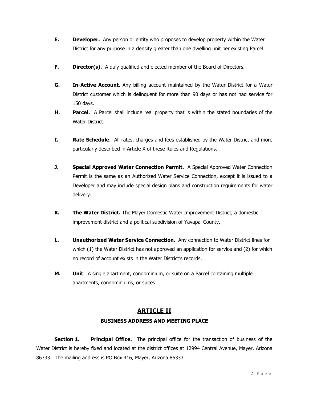- **E. Developer.** Any person or entity who proposes to develop property within the Water District for any purpose in a density greater than one dwelling unit per existing Parcel.
- **F. Director(s).** A duly qualified and elected member of the Board of Directors.
- **G. In-Active Account.** Any billing account maintained by the Water District for a Water District customer which is delinquent for more than 90 days or has not had service for 150 days.
- **H. Parcel.** A Parcel shall include real property that is within the stated boundaries of the Water District.
- **I. Rate Schedule**. All rates, charges and fees established by the Water District and more particularly described in Article X of these Rules and Regulations.
- **J. Special Approved Water Connection Permit.** A Special Approved Water Connection Permit is the same as an Authorized Water Service Connection, except it is issued to a Developer and may include special design plans and construction requirements for water delivery.
- **K. The Water District.** The Mayer Domestic Water Improvement District, a domestic improvement district and a political subdivision of Yavapai County.
- **L. Unauthorized Water Service Connection.** Any connection to Water District lines for which (1) the Water District has not approved an application for service and (2) for which no record of account exists in the Water District's records.
- **M. Unit**. A single apartment, condominium, or suite on a Parcel containing multiple apartments, condominiums, or suites.

# **ARTICLE II**

#### **BUSINESS ADDRESS AND MEETING PLACE**

**Section 1. Principal Office.** The principal office for the transaction of business of the Water District is hereby fixed and located at the district offices at 12994 Central Avenue, Mayer, Arizona 86333. The mailing address is PO Box 416, Mayer, Arizona 86333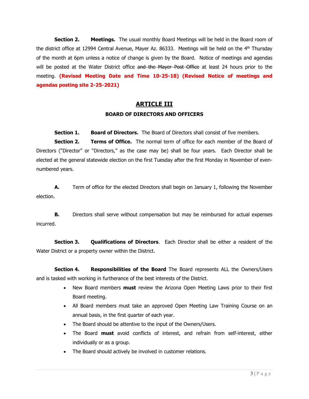**Section 2. Meetings.** The usual monthly Board Meetings will be held in the Board room of the district office at 12994 Central Avenue, Mayer Az. 86333. Meetings will be held on the 4<sup>th</sup> Thursday of the month at 6pm unless a notice of change is given by the Board. Notice of meetings and agendas will be posted at the Water District office and the Mayer Post Office at least 24 hours prior to the meeting. **(Revised Meeting Date and Time 10-25-18) (Revised Notice of meetings and agendas posting site 2-25-2021)**

# **ARTICLE III**

### **BOARD OF DIRECTORS AND OFFICERS**

**Section 1. Board of Directors.** The Board of Directors shall consist of five members.

**Section 2. Terms of Office.** The normal term of office for each member of the Board of Directors ("Director" or "Directors," as the case may be) shall be four years. Each Director shall be elected at the general statewide election on the first Tuesday after the first Monday in November of evennumbered years.

**A.** Term of office for the elected Directors shall begin on January 1, following the November election.

**B.** Directors shall serve without compensation but may be reimbursed for actual expenses incurred.

**Section 3. Qualifications of Directors**. Each Director shall be either a resident of the Water District or a property owner within the District.

**Section 4. Responsibilities of the Board** The Board represents ALL the Owners/Users and is tasked with working in furtherance of the best interests of the District.

- New Board members **must** review the Arizona Open Meeting Laws prior to their first Board meeting.
- All Board members must take an approved Open Meeting Law Training Course on an annual basis, in the first quarter of each year.
- The Board should be attentive to the input of the Owners/Users.
- The Board **must** avoid conflicts of interest, and refrain from self-interest, either individually or as a group.
- The Board should actively be involved in customer relations.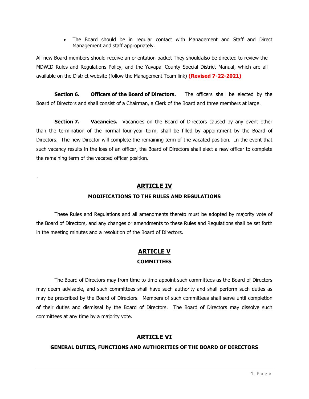• The Board should be in regular contact with Management and Staff and Direct Management and staff appropriately.

All new Board members should receive an orientation packet They shouldalso be directed to review the MDWID Rules and Regulations Policy, and the Yavapai County Special District Manual, which are all available on the District website (follow the Management Team link) **(Revised 7-22-2021)**

**Section 6. Officers of the Board of Directors.** The officers shall be elected by the Board of Directors and shall consist of a Chairman, a Clerk of the Board and three members at large.

**Section 7. Vacancies.** Vacancies on the Board of Directors caused by any event other than the termination of the normal four-year term, shall be filled by appointment by the Board of Directors. The new Director will complete the remaining term of the vacated position. In the event that such vacancy results in the loss of an officer, the Board of Directors shall elect a new officer to complete the remaining term of the vacated officer position.

# **ARTICLE IV**

.

## **MODIFICATIONS TO THE RULES AND REGULATIONS**

These Rules and Regulations and all amendments thereto must be adopted by majority vote of the Board of Directors, and any changes or amendments to these Rules and Regulations shall be set forth in the meeting minutes and a resolution of the Board of Directors.

# **ARTICLE V COMMITTEES**

The Board of Directors may from time to time appoint such committees as the Board of Directors may deem advisable, and such committees shall have such authority and shall perform such duties as may be prescribed by the Board of Directors. Members of such committees shall serve until completion of their duties and dismissal by the Board of Directors. The Board of Directors may dissolve such committees at any time by a majority vote.

# **ARTICLE VI**

#### **GENERAL DUTIES, FUNCTIONS AND AUTHORITIES OF THE BOARD OF DIRECTORS**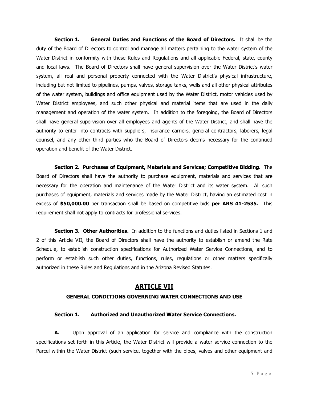**Section 1. General Duties and Functions of the Board of Directors.** It shall be the duty of the Board of Directors to control and manage all matters pertaining to the water system of the Water District in conformity with these Rules and Regulations and all applicable Federal, state, county and local laws. The Board of Directors shall have general supervision over the Water District's water system, all real and personal property connected with the Water District's physical infrastructure, including but not limited to pipelines, pumps, valves, storage tanks, wells and all other physical attributes of the water system, buildings and office equipment used by the Water District, motor vehicles used by Water District employees, and such other physical and material items that are used in the daily management and operation of the water system. In addition to the foregoing, the Board of Directors shall have general supervision over all employees and agents of the Water District, and shall have the authority to enter into contracts with suppliers, insurance carriers, general contractors, laborers, legal counsel, and any other third parties who the Board of Directors deems necessary for the continued operation and benefit of the Water District.

**Section 2. Purchases of Equipment, Materials and Services; Competitive Bidding.** The Board of Directors shall have the authority to purchase equipment, materials and services that are necessary for the operation and maintenance of the Water District and its water system. All such purchases of equipment, materials and services made by the Water District, having an estimated cost in excess of **\$50,000.00** per transaction shall be based on competitive bids **per ARS 41-2535.** This requirement shall not apply to contracts for professional services.

**Section 3. Other Authorities.** In addition to the functions and duties listed in Sections 1 and 2 of this Article VII, the Board of Directors shall have the authority to establish or amend the Rate Schedule, to establish construction specifications for Authorized Water Service Connections, and to perform or establish such other duties, functions, rules, regulations or other matters specifically authorized in these Rules and Regulations and in the Arizona Revised Statutes.

## **ARTICLE VII**

#### **GENERAL CONDITIONS GOVERNING WATER CONNECTIONS AND USE**

#### **Section 1. Authorized and Unauthorized Water Service Connections.**

**A.** Upon approval of an application for service and compliance with the construction specifications set forth in this Article, the Water District will provide a water service connection to the Parcel within the Water District (such service, together with the pipes, valves and other equipment and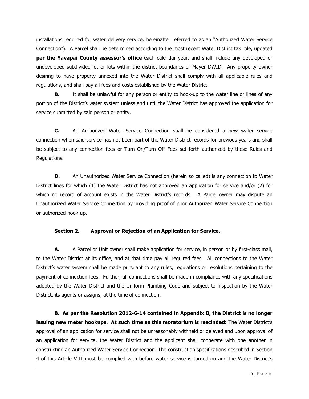installations required for water delivery service, hereinafter referred to as an "Authorized Water Service Connection"). A Parcel shall be determined according to the most recent Water District tax role, updated **per the Yavapai County assessor's office** each calendar year, and shall include any developed or undeveloped subdivided lot or lots within the district boundaries of Mayer DWID. Any property owner desiring to have property annexed into the Water District shall comply with all applicable rules and regulations, and shall pay all fees and costs established by the Water District

**B.** It shall be unlawful for any person or entity to hook-up to the water line or lines of any portion of the District's water system unless and until the Water District has approved the application for service submitted by said person or entity.

**C.** An Authorized Water Service Connection shall be considered a new water service connection when said service has not been part of the Water District records for previous years and shall be subject to any connection fees or Turn On/Turn Off Fees set forth authorized by these Rules and Regulations.

**D.** An Unauthorized Water Service Connection (herein so called) is any connection to Water District lines for which (1) the Water District has not approved an application for service and/or (2) for which no record of account exists in the Water District's records. A Parcel owner may dispute an Unauthorized Water Service Connection by providing proof of prior Authorized Water Service Connection or authorized hook-up.

#### **Section 2. Approval or Rejection of an Application for Service.**

A. A Parcel or Unit owner shall make application for service, in person or by first-class mail, to the Water District at its office, and at that time pay all required fees. All connections to the Water District's water system shall be made pursuant to any rules, regulations or resolutions pertaining to the payment of connection fees. Further, all connections shall be made in compliance with any specifications adopted by the Water District and the Uniform Plumbing Code and subject to inspection by the Water District, its agents or assigns, at the time of connection.

**B. As per the Resolution 2012-6-14 contained in Appendix B, the District is no longer issuing new meter hookups. At such time as this moratorium is rescinded:** The Water District's approval of an application for service shall not be unreasonably withheld or delayed and upon approval of an application for service, the Water District and the applicant shall cooperate with one another in constructing an Authorized Water Service Connection. The construction specifications described in Section 4 of this Article VIII must be complied with before water service is turned on and the Water District's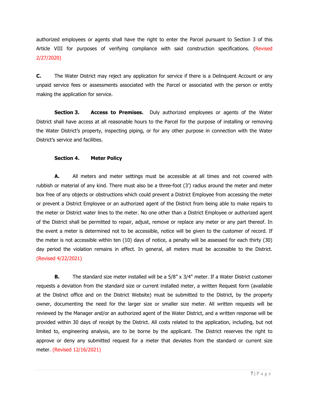authorized employees or agents shall have the right to enter the Parcel pursuant to Section 3 of this Article VIII for purposes of verifying compliance with said construction specifications. (Revised 2/27/2020)

**C.** The Water District may reject any application for service if there is a Delinguent Account or any unpaid service fees or assessments associated with the Parcel or associated with the person or entity making the application for service.

**Section 3. Access to Premises.** Duly authorized employees or agents of the Water District shall have access at all reasonable hours to the Parcel for the purpose of installing or removing the Water District's property, inspecting piping, or for any other purpose in connection with the Water District's service and facilities.

#### **Section 4. Meter Policy**

**A.** All meters and meter settings must be accessible at all times and not covered with rubbish or material of any kind. There must also be a three-foot (3') radius around the meter and meter box free of any objects or obstructions which could prevent a District Employee from accessing the meter or prevent a District Employee or an authorized agent of the District from being able to make repairs to the meter or District water lines to the meter. No one other than a District Employee or authorized agent of the District shall be permitted to repair, adjust, remove or replace any meter or any part thereof. In the event a meter is determined not to be accessible, notice will be given to the customer of record. If the meter is not accessible within ten (10) days of notice, a penalty will be assessed for each thirty (30) day period the violation remains in effect. In general, all meters must be accessible to the District. (Revised 4/22/2021)

**B.** The standard size meter installed will be a 5/8" x 3/4" meter. If a Water District customer requests a deviation from the standard size or current installed meter, a written Request form (available at the District office and on the District Website) must be submitted to the District, by the property owner, documenting the need for the larger size or smaller size meter. All written requests will be reviewed by the Manager and/or an authorized agent of the Water District, and a written response will be provided within 30 days of receipt by the District. All costs related to the application, including, but not limited to, engineering analysis, are to be borne by the applicant. The District reserves the right to approve or deny any submitted request for a meter that deviates from the standard or current size meter. (Revised 12/16/2021)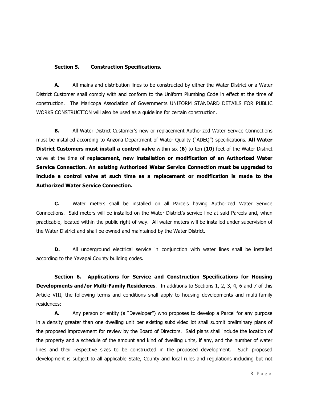#### **Section 5. Construction Specifications.**

**A.** All mains and distribution lines to be constructed by either the Water District or a Water District Customer shall comply with and conform to the Uniform Plumbing Code in effect at the time of construction. The Maricopa Association of Governments UNIFORM STANDARD DETAILS FOR PUBLIC WORKS CONSTRUCTION will also be used as a guideline for certain construction.

**B.** All Water District Customer's new or replacement Authorized Water Service Connections must be installed according to Arizona Department of Water Quality ("ADEQ") specifications. **All Water District Customers must install a control valve within six (6) to ten (10) feet of the Water District** valve at the time of **replacement, new installation or modification of an Authorized Water Service Connection. An existing Authorized Water Service Connection must be upgraded to include a control valve at such time as a replacement or modification is made to the Authorized Water Service Connection.**

**C.** Water meters shall be installed on all Parcels having Authorized Water Service Connections. Said meters will be installed on the Water District's service line at said Parcels and, when practicable, located within the public right-of-way. All water meters will be installed under supervision of the Water District and shall be owned and maintained by the Water District.

**D.** All underground electrical service in conjunction with water lines shall be installed according to the Yavapai County building codes.

**Section 6. Applications for Service and Construction Specifications for Housing Developments and/or Multi-Family Residences**. In additions to Sections 1, 2, 3, 4, 6 and 7 of this Article VIII, the following terms and conditions shall apply to housing developments and multi-family residences:

**A.** Any person or entity (a "Developer") who proposes to develop a Parcel for any purpose in a density greater than one dwelling unit per existing subdivided lot shall submit preliminary plans of the proposed improvement for review by the Board of Directors. Said plans shall include the location of the property and a schedule of the amount and kind of dwelling units, if any, and the number of water lines and their respective sizes to be constructed in the proposed development. Such proposed development is subject to all applicable State, County and local rules and regulations including but not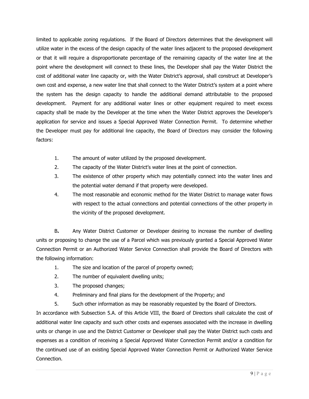limited to applicable zoning regulations. If the Board of Directors determines that the development will utilize water in the excess of the design capacity of the water lines adjacent to the proposed development or that it will require a disproportionate percentage of the remaining capacity of the water line at the point where the development will connect to these lines, the Developer shall pay the Water District the cost of additional water line capacity or, with the Water District's approval, shall construct at Developer's own cost and expense, a new water line that shall connect to the Water District's system at a point where the system has the design capacity to handle the additional demand attributable to the proposed development. Payment for any additional water lines or other equipment required to meet excess capacity shall be made by the Developer at the time when the Water District approves the Developer's application for service and issues a Special Approved Water Connection Permit. To determine whether the Developer must pay for additional line capacity, the Board of Directors may consider the following factors:

- 1. The amount of water utilized by the proposed development.
- 2. The capacity of the Water District's water lines at the point of connection.
- 3. The existence of other property which may potentially connect into the water lines and the potential water demand if that property were developed.
- 4. The most reasonable and economic method for the Water District to manage water flows with respect to the actual connections and potential connections of the other property in the vicinity of the proposed development.

B**.** Any Water District Customer or Developer desiring to increase the number of dwelling units or proposing to change the use of a Parcel which was previously granted a Special Approved Water Connection Permit or an Authorized Water Service Connection shall provide the Board of Directors with the following information:

- 1. The size and location of the parcel of property owned;
- 2. The number of equivalent dwelling units;
- 3. The proposed changes;
- 4. Preliminary and final plans for the development of the Property; and
- 5. Such other information as may be reasonably requested by the Board of Directors.

In accordance with Subsection 5.A. of this Article VIII, the Board of Directors shall calculate the cost of additional water line capacity and such other costs and expenses associated with the increase in dwelling units or change in use and the District Customer or Developer shall pay the Water District such costs and expenses as a condition of receiving a Special Approved Water Connection Permit and/or a condition for the continued use of an existing Special Approved Water Connection Permit or Authorized Water Service Connection.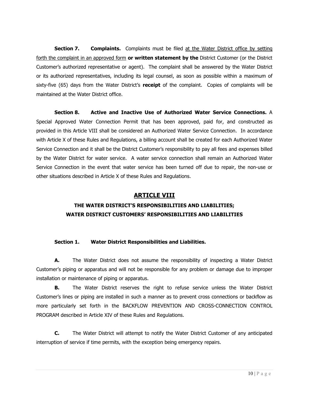**Section 7. Complaints.** Complaints must be filed at the Water District office by setting forth the complaint in an approved form **or written statement by the** District Customer (or the District Customer's authorized representative or agent). The complaint shall be answered by the Water District or its authorized representatives, including its legal counsel, as soon as possible within a maximum of sixty-five (65) days from the Water District's **receipt** of the complaint. Copies of complaints will be maintained at the Water District office.

**Section 8. Active and Inactive Use of Authorized Water Service Connections.** A Special Approved Water Connection Permit that has been approved, paid for, and constructed as provided in this Article VIII shall be considered an Authorized Water Service Connection. In accordance with Article X of these Rules and Regulations, a billing account shall be created for each Authorized Water Service Connection and it shall be the District Customer's responsibility to pay all fees and expenses billed by the Water District for water service. A water service connection shall remain an Authorized Water Service Connection in the event that water service has been turned off due to repair, the non-use or other situations described in Article X of these Rules and Regulations.

## **ARTICLE VIII**

# **THE WATER DISTRICT'S RESPONSIBILITIES AND LIABILITIES; WATER DISTRICT CUSTOMERS' RESPONSIBILITIES AND LIABILITIES**

#### **Section 1. Water District Responsibilities and Liabilities.**

**A.** The Water District does not assume the responsibility of inspecting a Water District Customer's piping or apparatus and will not be responsible for any problem or damage due to improper installation or maintenance of piping or apparatus.

**B.** The Water District reserves the right to refuse service unless the Water District Customer's lines or piping are installed in such a manner as to prevent cross connections or backflow as more particularly set forth in the BACKFLOW PREVENTION AND CROSS-CONNECTION CONTROL PROGRAM described in Article XIV of these Rules and Regulations.

**C.** The Water District will attempt to notify the Water District Customer of any anticipated interruption of service if time permits, with the exception being emergency repairs.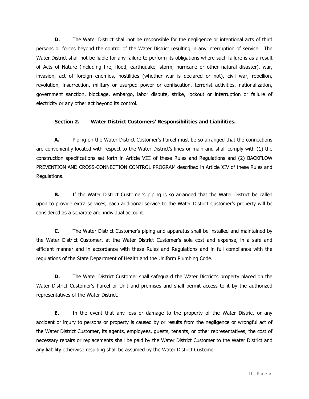**D.** The Water District shall not be responsible for the negligence or intentional acts of third persons or forces beyond the control of the Water District resulting in any interruption of service. The Water District shall not be liable for any failure to perform its obligations where such failure is as a result of Acts of Nature (including fire, flood, earthquake, storm, hurricane or other natural disaster), war, invasion, act of foreign enemies, hostilities (whether war is declared or not), civil war, rebellion, revolution, insurrection, military or usurped power or confiscation, terrorist activities, nationalization, government sanction, blockage, embargo, labor dispute, strike, lockout or interruption or failure of electricity or any other act beyond its control.

### **Section 2. Water District Customers' Responsibilities and Liabilities.**

**A.** Piping on the Water District Customer's Parcel must be so arranged that the connections are conveniently located with respect to the Water District's lines or main and shall comply with (1) the construction specifications set forth in Article VIII of these Rules and Regulations and (2) BACKFLOW PREVENTION AND CROSS-CONNECTION CONTROL PROGRAM described in Article XIV of these Rules and Regulations.

**B.** If the Water District Customer's piping is so arranged that the Water District be called upon to provide extra services, each additional service to the Water District Customer's property will be considered as a separate and individual account.

**C.** The Water District Customer's piping and apparatus shall be installed and maintained by the Water District Customer, at the Water District Customer's sole cost and expense, in a safe and efficient manner and in accordance with these Rules and Regulations and in full compliance with the regulations of the State Department of Health and the Uniform Plumbing Code.

**D.** The Water District Customer shall safeguard the Water District's property placed on the Water District Customer's Parcel or Unit and premises and shall permit access to it by the authorized representatives of the Water District.

**E.** In the event that any loss or damage to the property of the Water District or any accident or injury to persons or property is caused by or results from the negligence or wrongful act of the Water District Customer, its agents, employees, guests, tenants, or other representatives, the cost of necessary repairs or replacements shall be paid by the Water District Customer to the Water District and any liability otherwise resulting shall be assumed by the Water District Customer.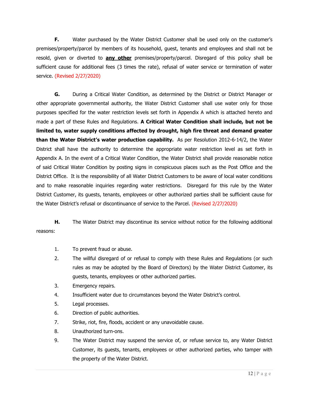**F.** Water purchased by the Water District Customer shall be used only on the customer's premises/property/parcel by members of its household, guest, tenants and employees and shall not be resold, given or diverted to **any other** premises/property/parcel. Disregard of this policy shall be sufficient cause for additional fees (3 times the rate), refusal of water service or termination of water service. (Revised 2/27/2020)

**G.** During a Critical Water Condition, as determined by the District or District Manager or other appropriate governmental authority, the Water District Customer shall use water only for those purposes specified for the water restriction levels set forth in Appendix A which is attached hereto and made a part of these Rules and Regulations. **A Critical Water Condition shall include, but not be limited to, water supply conditions affected by drought, high fire threat and demand greater than the Water District's water production capability.** As per Resolution 2012-6-14/2, the Water District shall have the authority to determine the appropriate water restriction level as set forth in Appendix A. In the event of a Critical Water Condition, the Water District shall provide reasonable notice of said Critical Water Condition by posting signs in conspicuous places such as the Post Office and the District Office. It is the responsibility of all Water District Customers to be aware of local water conditions and to make reasonable inquiries regarding water restrictions. Disregard for this rule by the Water District Customer, its guests, tenants, employees or other authorized parties shall be sufficient cause for the Water District's refusal or discontinuance of service to the Parcel. (Revised 2/27/2020)

**H.** The Water District may discontinue its service without notice for the following additional reasons:

- 1. To prevent fraud or abuse.
- 2. The willful disregard of or refusal to comply with these Rules and Regulations (or such rules as may be adopted by the Board of Directors) by the Water District Customer, its guests, tenants, employees or other authorized parties.
- 3. Emergency repairs.
- 4. Insufficient water due to circumstances beyond the Water District's control.
- 5. Legal processes.
- 6. Direction of public authorities.
- 7. Strike, riot, fire, floods, accident or any unavoidable cause.
- 8. Unauthorized turn-ons.
- 9. The Water District may suspend the service of, or refuse service to, any Water District Customer, its guests, tenants, employees or other authorized parties, who tamper with the property of the Water District.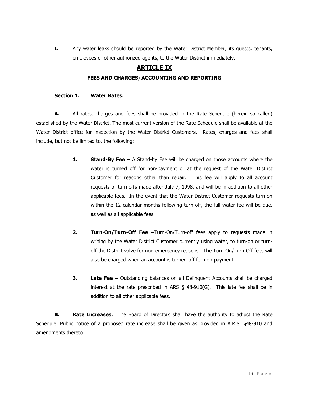**I.** Any water leaks should be reported by the Water District Member, its guests, tenants, employees or other authorized agents, to the Water District immediately.

# **ARTICLE IX**

# **FEES AND CHARGES; ACCOUNTING AND REPORTING**

#### **Section 1. Water Rates.**

**A.** All rates, charges and fees shall be provided in the Rate Schedule (herein so called) established by the Water District. The most current version of the Rate Schedule shall be available at the Water District office for inspection by the Water District Customers. Rates, charges and fees shall include, but not be limited to, the following:

- **1. Stand-By Fee –** A Stand-by Fee will be charged on those accounts where the water is turned off for non-payment or at the request of the Water District Customer for reasons other than repair. This fee will apply to all account requests or turn-offs made after July 7, 1998, and will be in addition to all other applicable fees. In the event that the Water District Customer requests turn-on within the 12 calendar months following turn-off, the full water fee will be due, as well as all applicable fees.
- **2. Turn**-**On/Turn-Off Fee –**Turn-On/Turn-off fees apply to requests made in writing by the Water District Customer currently using water, to turn-on or turnoff the District valve for non-emergency reasons. The Turn-On/Turn-Off fees will also be charged when an account is turned-off for non-payment.
- **3. Late Fee –** Outstanding balances on all Delinquent Accounts shall be charged interest at the rate prescribed in ARS § 48-910(G). This late fee shall be in addition to all other applicable fees.

**B.** Rate Increases. The Board of Directors shall have the authority to adjust the Rate Schedule. Public notice of a proposed rate increase shall be given as provided in A.R.S. §48-910 and amendments thereto.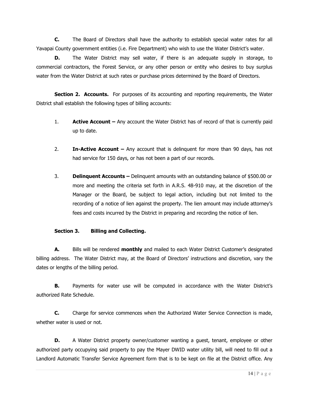**C.** The Board of Directors shall have the authority to establish special water rates for all Yavapai County government entities (i.e. Fire Department) who wish to use the Water District's water.

**D.** The Water District may sell water, if there is an adequate supply in storage, to commercial contractors, the Forest Service, or any other person or entity who desires to buy surplus water from the Water District at such rates or purchase prices determined by the Board of Directors.

**Section 2. Accounts.** For purposes of its accounting and reporting requirements, the Water District shall establish the following types of billing accounts:

- 1. **Active Account –** Any account the Water District has of record of that is currently paid up to date.
- 2. **In-Active Account –** Any account that is delinquent for more than 90 days, has not had service for 150 days, or has not been a part of our records.
- 3. **Delinquent Accounts –** Delinquent amounts with an outstanding balance of \$500.00 or more and meeting the criteria set forth in A.R.S. 48-910 may, at the discretion of the Manager or the Board, be subject to legal action, including but not limited to the recording of a notice of lien against the property. The lien amount may include attorney's fees and costs incurred by the District in preparing and recording the notice of lien.

#### **Section 3. Billing and Collecting.**

**A.** Bills will be rendered **monthly** and mailed to each Water District Customer's designated billing address. The Water District may, at the Board of Directors' instructions and discretion, vary the dates or lengths of the billing period.

**B.** Payments for water use will be computed in accordance with the Water District's authorized Rate Schedule.

**C.** Charge for service commences when the Authorized Water Service Connection is made, whether water is used or not.

**D.** A Water District property owner/customer wanting a guest, tenant, employee or other authorized party occupying said property to pay the Mayer DWID water utility bill, will need to fill out a Landlord Automatic Transfer Service Agreement form that is to be kept on file at the District office. Any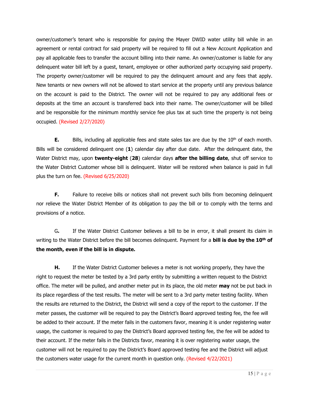owner/customer's tenant who is responsible for paying the Mayer DWID water utility bill while in an agreement or rental contract for said property will be required to fill out a New Account Application and pay all applicable fees to transfer the account billing into their name. An owner/customer is liable for any delinquent water bill left by a guest, tenant, employee or other authorized party occupying said property. The property owner/customer will be required to pay the delinquent amount and any fees that apply. New tenants or new owners will not be allowed to start service at the property until any previous balance on the account is paid to the District. The owner will not be required to pay any additional fees or deposits at the time an account is transferred back into their name. The owner/customer will be billed and be responsible for the minimum monthly service fee plus tax at such time the property is not being occupied. (Revised 2/27/2020)

**E.** Bills, including all applicable fees and state sales tax are due by the  $10<sup>th</sup>$  of each month. Bills will be considered delinquent one (**1**) calendar day after due date. After the delinquent date, the Water District may, upon **twenty-eight** (**28**) calendar days **after the billing date**, shut off service to the Water District Customer whose bill is delinquent. Water will be restored when balance is paid in full plus the turn on fee. (Revised 6/25/2020)

**F.** Failure to receive bills or notices shall not prevent such bills from becoming delinguent nor relieve the Water District Member of its obligation to pay the bill or to comply with the terms and provisions of a notice.

G**.** If the Water District Customer believes a bill to be in error, it shall present its claim in writing to the Water District before the bill becomes delinquent. Payment for a **bill is due by the 10th of the month, even if the bill is in dispute.**

**H.** If the Water District Customer believes a meter is not working properly, they have the right to request the meter be tested by a 3rd party entity by submitting a written request to the District office. The meter will be pulled, and another meter put in its place, the old meter **may** not be put back in its place regardless of the test results. The meter will be sent to a 3rd party meter testing facility. When the results are returned to the District, the District will send a copy of the report to the customer. If the meter passes, the customer will be required to pay the District's Board approved testing fee, the fee will be added to their account. If the meter fails in the customers favor, meaning it is under registering water usage, the customer is required to pay the District's Board approved testing fee, the fee will be added to their account. If the meter fails in the Districts favor, meaning it is over registering water usage, the customer will not be required to pay the District's Board approved testing fee and the District will adjust the customers water usage for the current month in question only. (Revised 4/22/2021)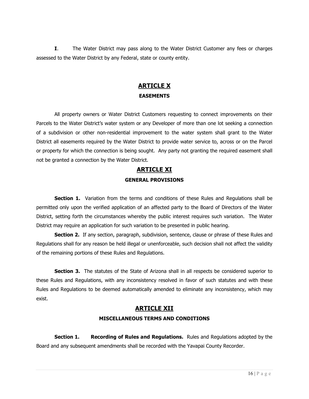**I**. The Water District may pass along to the Water District Customer any fees or charges assessed to the Water District by any Federal, state or county entity.

# **ARTICLE X EASEMENTS**

All property owners or Water District Customers requesting to connect improvements on their Parcels to the Water District's water system or any Developer of more than one lot seeking a connection of a subdivision or other non-residential improvement to the water system shall grant to the Water District all easements required by the Water District to provide water service to, across or on the Parcel or property for which the connection is being sought. Any party not granting the required easement shall not be granted a connection by the Water District.

# **ARTICLE XI GENERAL PROVISIONS**

**Section 1.** Variation from the terms and conditions of these Rules and Regulations shall be permitted only upon the verified application of an affected party to the Board of Directors of the Water District, setting forth the circumstances whereby the public interest requires such variation. The Water District may require an application for such variation to be presented in public hearing.

**Section 2.** If any section, paragraph, subdivision, sentence, clause or phrase of these Rules and Regulations shall for any reason be held illegal or unenforceable, such decision shall not affect the validity of the remaining portions of these Rules and Regulations.

**Section 3.** The statutes of the State of Arizona shall in all respects be considered superior to these Rules and Regulations, with any inconsistency resolved in favor of such statutes and with these Rules and Regulations to be deemed automatically amended to eliminate any inconsistency, which may exist.

# **ARTICLE XII**

## **MISCELLANEOUS TERMS AND CONDITIONS**

**Section 1. Recording of Rules and Regulations.** Rules and Regulations adopted by the Board and any subsequent amendments shall be recorded with the Yavapai County Recorder.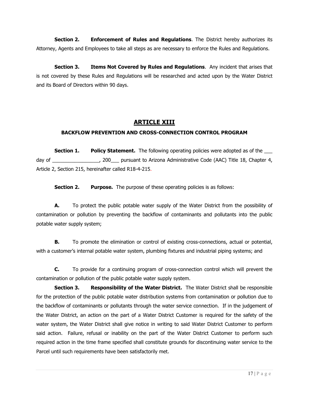**Section 2. Enforcement of Rules and Regulations**. The District hereby authorizes its Attorney, Agents and Employees to take all steps as are necessary to enforce the Rules and Regulations.

**Section 3. Items Not Covered by Rules and Regulations**. Any incident that arises that is not covered by these Rules and Regulations will be researched and acted upon by the Water District and its Board of Directors within 90 days.

# **ARTICLE XIII**

## **BACKFLOW PREVENTION AND CROSS-CONNECTION CONTROL PROGRAM**

**Section 1. Policy Statement.** The following operating policies were adopted as of the day of \_\_\_\_\_\_\_\_\_\_\_\_\_\_\_\_\_, 200\_\_\_ pursuant to Arizona Administrative Code (AAC) Title 18, Chapter 4, Article 2, Section 215, hereinafter called R18-4-215.

**Section 2. Purpose.** The purpose of these operating policies is as follows:

**A.** To protect the public potable water supply of the Water District from the possibility of contamination or pollution by preventing the backflow of contaminants and pollutants into the public potable water supply system;

**B.** To promote the elimination or control of existing cross-connections, actual or potential, with a customer's internal potable water system, plumbing fixtures and industrial piping systems; and

**C.** To provide for a continuing program of cross-connection control which will prevent the contamination or pollution of the public potable water supply system.

**Section 3. Responsibility of the Water District.** The Water District shall be responsible for the protection of the public potable water distribution systems from contamination or pollution due to the backflow of contaminants or pollutants through the water service connection. If in the judgement of the Water District, an action on the part of a Water District Customer is required for the safety of the water system, the Water District shall give notice in writing to said Water District Customer to perform said action. Failure, refusal or inability on the part of the Water District Customer to perform such required action in the time frame specified shall constitute grounds for discontinuing water service to the Parcel until such requirements have been satisfactorily met.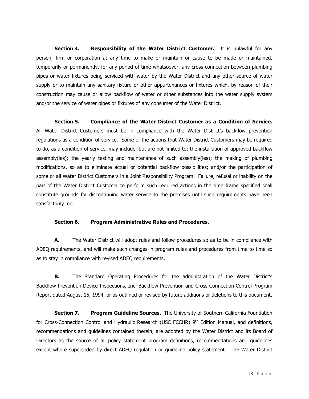**Section 4. Responsibility of the Water District Customer.** It is unlawful for any person, firm or corporation at any time to make or maintain or cause to be made or maintained, temporarily or permanently, for any period of time whatsoever, any cross-connection between plumbing pipes or water fixtures being serviced with water by the Water District and any other source of water supply or to maintain any sanitary fixture or other appurtenances or fixtures which, by reason of their construction may cause or allow backflow of water or other substances into the water supply system and/or the service of water pipes or fixtures of any consumer of the Water District.

**Section 5. Compliance of the Water District Customer as a Condition of Service.** All Water District Customers must be in compliance with the Water District's backflow prevention regulations as a condition of service. Some of the actions that Water District Customers may be required to do, as a condition of service, may include, but are not limited to: the installation of approved backflow assembly(ies); the yearly testing and maintenance of such assembly(ies); the making of plumbing modifications, so as to eliminate actual or potential backflow possibilities; and/or the participation of some or all Water District Customers in a Joint Responsibility Program. Failure, refusal or inability on the part of the Water District Customer to perform such required actions in the time frame specified shall constitute grounds for discontinuing water service to the premises until such requirements have been satisfactorily met.

#### **Section 6. Program Administrative Rules and Procedures.**

**A.** The Water District will adopt rules and follow procedures so as to be in compliance with ADEQ requirements, and will make such changes in program rules and procedures from time to time so as to stay in compliance with revised ADEQ requirements.

**B.** The Standard Operating Procedures for the administration of the Water District's Backflow Prevention Device Inspections, Inc. Backflow Prevention and Cross-Connection Control Program Report dated August 15, 1994, or as outlined or revised by future additions or deletions to this document.

**Section 7. Program Guideline Sources.** The University of Southern California Foundation for Cross-Connection Control and Hydraulic Research (USC FCCHR) 9<sup>th</sup> Edition Manual, and definitions, recommendations and guidelines contained therein, are adopted by the Water District and its Board of Directors as the source of all policy statement program definitions, recommendations and guidelines except where superseded by direct ADEQ regulation or guideline policy statement. The Water District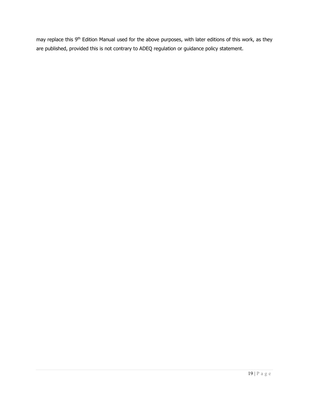may replace this 9<sup>th</sup> Edition Manual used for the above purposes, with later editions of this work, as they are published, provided this is not contrary to ADEQ regulation or guidance policy statement.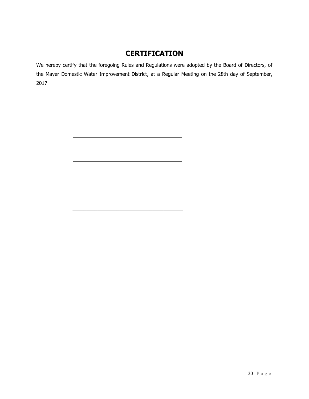# **CERTIFICATION**

We hereby certify that the foregoing Rules and Regulations were adopted by the Board of Directors, of the Mayer Domestic Water Improvement District, at a Regular Meeting on the 28th day of September, 2017

 $\overline{\phantom{a}}$  , and the contract of the contract of the contract of the contract of the contract of the contract of the contract of the contract of the contract of the contract of the contract of the contract of the contrac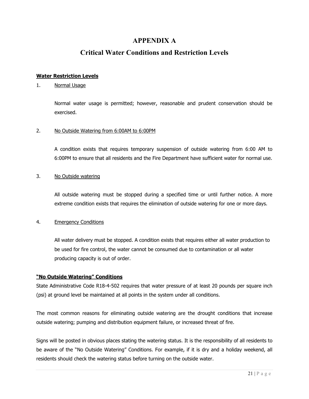# **APPENDIX A**

# **Critical Water Conditions and Restriction Levels**

#### **Water Restriction Levels**

#### 1. Normal Usage

Normal water usage is permitted; however, reasonable and prudent conservation should be exercised.

#### 2. No Outside Watering from 6:00AM to 6:00PM

A condition exists that requires temporary suspension of outside watering from 6:00 AM to 6:00PM to ensure that all residents and the Fire Department have sufficient water for normal use.

#### 3. No Outside watering

All outside watering must be stopped during a specified time or until further notice. A more extreme condition exists that requires the elimination of outside watering for one or more days.

#### 4. Emergency Conditions

All water delivery must be stopped. A condition exists that requires either all water production to be used for fire control, the water cannot be consumed due to contamination or all water producing capacity is out of order.

#### **"No Outside Watering" Conditions**

State Administrative Code R18-4-502 requires that water pressure of at least 20 pounds per square inch (psi) at ground level be maintained at all points in the system under all conditions.

The most common reasons for eliminating outside watering are the drought conditions that increase outside watering; pumping and distribution equipment failure, or increased threat of fire.

Signs will be posted in obvious places stating the watering status. It is the responsibility of all residents to be aware of the "No Outside Watering" Conditions. For example, if it is dry and a holiday weekend, all residents should check the watering status before turning on the outside water.